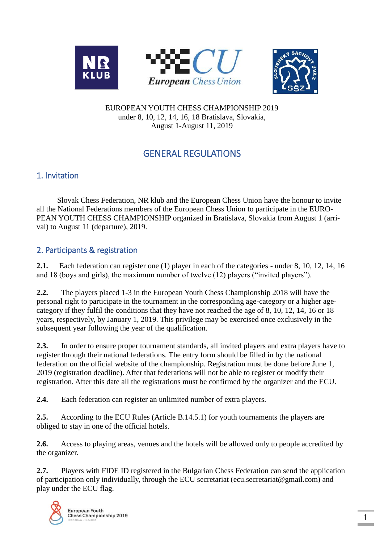



#### EUROPEAN YOUTH CHESS CHAMPIONSHIP 2019 under 8, 10, 12, 14, 16, 18 Bratislava, Slovakia, August 1-August 11, 2019

# GENERAL REGULATIONS

## 1. Invitation

 Slovak Chess Federation, NR klub and the European Chess Union have the honour to invite all the National Federations members of the European Chess Union to participate in the EURO-PEAN YOUTH CHESS CHAMPIONSHIP organized in Bratislava, Slovakia from August 1 (arrival) to August 11 (departure), 2019.

### 2. Participants & registration

**2.1.** Each federation can register one (1) player in each of the categories - under 8, 10, 12, 14, 16 and 18 (boys and girls), the maximum number of twelve (12) players ("invited players").

**2.2.** The players placed 1-3 in the European Youth Chess Championship 2018 will have the personal right to participate in the tournament in the corresponding age-category or a higher agecategory if they fulfil the conditions that they have not reached the age of 8, 10, 12, 14, 16 or 18 years, respectively, by January 1, 2019. This privilege may be exercised once exclusively in the subsequent year following the year of the qualification.

**2.3.** In order to ensure proper tournament standards, all invited players and extra players have to register through their national federations. The entry form should be filled in by the national federation on the official website of the championship. Registration must be done before June 1, 2019 (registration deadline). After that federations will not be able to register or modify their registration. After this date all the registrations must be confirmed by the organizer and the ECU.

**2.4.** Each federation can register an unlimited number of extra players.

**2.5.** According to the ECU Rules (Article B.14.5.1) for youth tournaments the players are obliged to stay in one of the official hotels.

**2.6.** Access to playing areas, venues and the hotels will be allowed only to people accredited by the organizer.

**2.7.** Players with FIDE ID registered in the Bulgarian Chess Federation can send the application of participation only individually, through the ECU secretariat (ecu.secretariat@gmail.com) and play under the ECU flag.

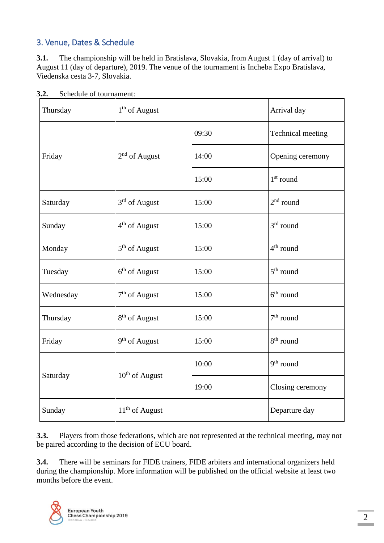## 3. Venue, Dates & Schedule

**3.1.** The championship will be held in Bratislava, Slovakia, from August 1 (day of arrival) to August 11 (day of departure), 2019. The venue of the tournament is Incheba Expo Bratislava, Viedenska cesta 3-7, Slovakia.

| Thursday  | $1th$ of August            |       | Arrival day           |
|-----------|----------------------------|-------|-----------------------|
|           |                            | 09:30 | Technical meeting     |
| Friday    | $2nd$ of August            | 14:00 | Opening ceremony      |
|           |                            | 15:00 | $1st$ round           |
| Saturday  | $3rd$ of August            | 15:00 | $2nd$ round           |
| Sunday    | $4th$ of August            | 15:00 | $3rd$ round           |
| Monday    | 5 <sup>th</sup> of August  | 15:00 | 4 <sup>th</sup> round |
| Tuesday   | $6th$ of August            | 15:00 | $5th$ round           |
| Wednesday | $7^{\rm th}$ of August     | 15:00 | $6th$ round           |
| Thursday  | 8 <sup>th</sup> of August  | 15:00 | $7th$ round           |
| Friday    | 9 <sup>th</sup> of August  | 15:00 | 8 <sup>th</sup> round |
| Saturday  |                            | 10:00 | $9th$ round           |
|           | 10 <sup>th</sup> of August | 19:00 | Closing ceremony      |
| Sunday    | $11th$ of August           |       | Departure day         |

**3.2.** Schedule of tournament:

**3.3.** Players from those federations, which are not represented at the technical meeting, may not be paired according to the decision of ECU board.

**3.4.** There will be seminars for FIDE trainers, FIDE arbiters and international organizers held during the championship. More information will be published on the official website at least two months before the event.

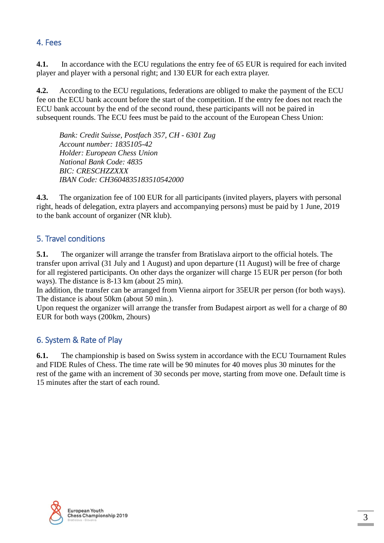### 4. Fees

**4.1.** In accordance with the ECU regulations the entry fee of 65 EUR is required for each invited player and player with a personal right; and 130 EUR for each extra player.

**4.2.** According to the ECU regulations, federations are obliged to make the payment of the ECU fee on the ECU bank account before the start of the competition. If the entry fee does not reach the ECU bank account by the end of the second round, these participants will not be paired in subsequent rounds. The ECU fees must be paid to the account of the European Chess Union:

*Bank: Credit Suisse, Postfach 357, CH - 6301 Zug Account number: 1835105-42 Holder: European Chess Union National Bank Code: 4835 BIC: CRESCHZZXXX IBAN Code: CH3604835183510542000*

**4.3.** The organization fee of 100 EUR for all participants (invited players, players with personal right, heads of delegation, extra players and accompanying persons) must be paid by 1 June, 2019 to the bank account of organizer (NR klub).

## 5. Travel conditions

**5.1.** The organizer will arrange the transfer from Bratislava airport to the official hotels. The transfer upon arrival (31 July and 1 August) and upon departure (11 August) will be free of charge for all registered participants. On other days the organizer will charge 15 EUR per person (for both ways). The distance is 8-13 km (about 25 min).

In addition, the transfer can be arranged from Vienna airport for 35EUR per person (for both ways). The distance is about 50km (about 50 min.).

Upon request the organizer will arrange the transfer from Budapest airport as well for a charge of 80 EUR for both ways (200km, 2hours)

### 6. System & Rate of Play

**6.1.** The championship is based on Swiss system in accordance with the ECU Tournament Rules and FIDE Rules of Chess. The time rate will be 90 minutes for 40 moves plus 30 minutes for the rest of the game with an increment of 30 seconds per move, starting from move one. Default time is 15 minutes after the start of each round.

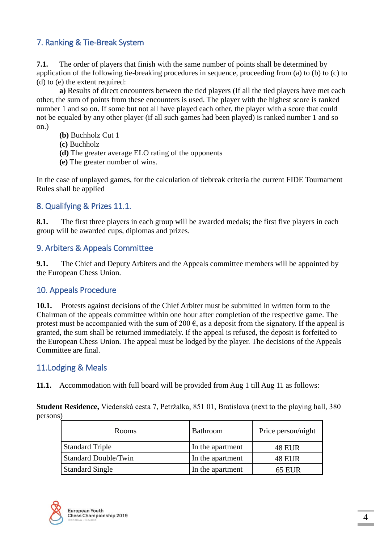# 7. Ranking & Tie-Break System

**7.1.** The order of players that finish with the same number of points shall be determined by application of the following tie-breaking procedures in sequence, proceeding from (a) to (b) to (c) to (d) to (e) the extent required:

**a)** Results of direct encounters between the tied players (If all the tied players have met each other, the sum of points from these encounters is used. The player with the highest score is ranked number 1 and so on. If some but not all have played each other, the player with a score that could not be equaled by any other player (if all such games had been played) is ranked number 1 and so on.)

- **(b)** Buchholz Cut 1
- **(c)** Buchholz
- **(d)** The greater average ELO rating of the opponents
- **(e)** The greater number of wins.

In the case of unplayed games, for the calculation of tiebreak criteria the current FIDE Tournament Rules shall be applied

#### 8. Qualifying & Prizes 11.1.

**8.1.** The first three players in each group will be awarded medals; the first five players in each group will be awarded cups, diplomas and prizes.

#### 9. Arbiters & Appeals Committee

**9.1.** The Chief and Deputy Arbiters and the Appeals committee members will be appointed by the European Chess Union.

#### 10. Appeals Procedure

**10.1.** Protests against decisions of the Chief Arbiter must be submitted in written form to the Chairman of the appeals committee within one hour after completion of the respective game. The protest must be accompanied with the sum of 200  $\epsilon$ , as a deposit from the signatory. If the appeal is granted, the sum shall be returned immediately. If the appeal is refused, the deposit is forfeited to the European Chess Union. The appeal must be lodged by the player. The decisions of the Appeals Committee are final.

#### 11.Lodging & Meals

**11.1.** Accommodation with full board will be provided from Aug 1 till Aug 11 as follows:

**Student Residence,** Viedenská cesta 7, Petržalka, 851 01, Bratislava (next to the playing hall, 380 persons)

| Rooms                       | <b>Bathroom</b>  | Price person/night |
|-----------------------------|------------------|--------------------|
| <b>Standard Triple</b>      | In the apartment | <b>48 EUR</b>      |
| <b>Standard Double/Twin</b> | In the apartment | <b>48 EUR</b>      |
| <b>Standard Single</b>      | In the apartment | <b>65 EUR</b>      |

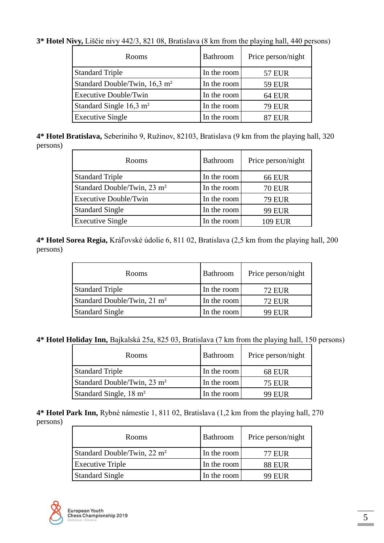**3\* Hotel Nivy,** Liščie nivy 442/3, 821 08, Bratislava (8 km from the playing hall, 440 persons)

| <b>Rooms</b>                              | <b>Bathroom</b> | Price person/night |
|-------------------------------------------|-----------------|--------------------|
| <b>Standard Triple</b>                    | In the room     | <b>57 EUR</b>      |
| Standard Double/Twin, 16,3 m <sup>2</sup> | In the room     | <b>59 EUR</b>      |
| <b>Executive Double/Twin</b>              | In the room     | <b>64 EUR</b>      |
| Standard Single $16,3 \text{ m}^2$        | In the room     | <b>79 EUR</b>      |
| <b>Executive Single</b>                   | In the room     | ' EUR              |

**4\* Hotel Bratislava,** Seberiniho 9, Ružinov, 82103, Bratislava (9 km from the playing hall, 320 persons)

| <b>Rooms</b>                            | <b>Bathroom</b> | Price person/night |
|-----------------------------------------|-----------------|--------------------|
| <b>Standard Triple</b>                  | In the room     | <b>66 EUR</b>      |
| Standard Double/Twin, 23 m <sup>2</sup> | In the room     | <b>70 EUR</b>      |
| <b>Executive Double/Twin</b>            | In the room     | <b>79 EUR</b>      |
| <b>Standard Single</b>                  | In the room     | <b>99 EUR</b>      |
| <b>Executive Single</b>                 | In the room     | 109 EUR            |

**4\* Hotel Sorea Regia,** Kráľovské údolie 6, 811 02, Bratislava (2,5 km from the playing hall, 200 persons)

| <b>Rooms</b>                            | <b>Bathroom</b> | Price person/night |
|-----------------------------------------|-----------------|--------------------|
| <b>Standard Triple</b>                  | In the room     | <b>72 EUR</b>      |
| Standard Double/Twin, 21 m <sup>2</sup> | In the room     | <b>72 EUR</b>      |
| <b>Standard Single</b>                  | In the room     | 99 EUR             |

**4\* Hotel Holiday Inn,** Bajkalská 25a, 825 03, Bratislava (7 km from the playing hall, 150 persons)

| <b>Rooms</b>                            | <b>Bathroom</b> | Price person/night |
|-----------------------------------------|-----------------|--------------------|
| <b>Standard Triple</b>                  | In the room     | <b>68 EUR</b>      |
| Standard Double/Twin, 23 m <sup>2</sup> | In the room     | <b>75 EUR</b>      |
| Standard Single, 18 m <sup>2</sup>      | In the room     | 99 EUR             |

**4\* Hotel Park Inn,** Rybné námestie 1, 811 02, Bratislava (1,2 km from the playing hall, 270 persons)

| <b>Rooms</b>                            | Bathroom    | Price person/night |
|-----------------------------------------|-------------|--------------------|
| Standard Double/Twin, 22 m <sup>2</sup> | In the room | 77 EUR             |
| <b>Executive Triple</b>                 | In the room | <b>88 EUR</b>      |
| <b>Standard Single</b>                  | In the room | 99 EUR             |

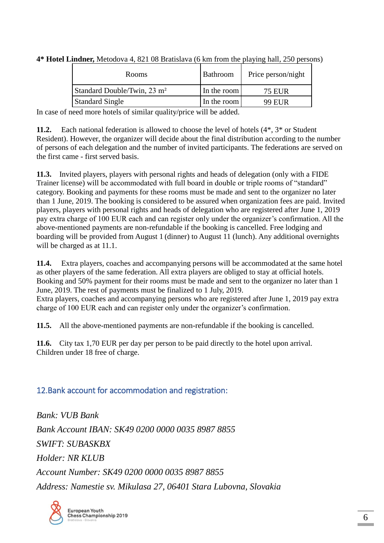| <b>Rooms</b>                            | Bathroom    | Price person/night |
|-----------------------------------------|-------------|--------------------|
| Standard Double/Twin, 23 m <sup>2</sup> | In the room | 75 EUR             |
| <b>Standard Single</b>                  | In the room | 99 EUR             |

**4\* Hotel Lindner,** Metodova 4, 821 08 Bratislava (6 km from the playing hall, 250 persons)

In case of need more hotels of similar quality/price will be added.

**11.2.** Each national federation is allowed to choose the level of hotels  $(4^*, 3^*)$  or Student Resident). However, the organizer will decide about the final distribution according to the number of persons of each delegation and the number of invited participants. The federations are served on the first came - first served basis.

**11.3.** Invited players, players with personal rights and heads of delegation (only with a FIDE Trainer license) will be accommodated with full board in double or triple rooms of "standard" category. Booking and payments for these rooms must be made and sent to the organizer no later than 1 June, 2019. The booking is considered to be assured when organization fees are paid. Invited players, players with personal rights and heads of delegation who are registered after June 1, 2019 pay extra charge of 100 EUR each and can register only under the organizer's confirmation. All the above-mentioned payments are non-refundable if the booking is cancelled. Free lodging and boarding will be provided from August 1 (dinner) to August 11 (lunch). Any additional overnights will be charged as at 11.1.

**11.4.** Extra players, coaches and accompanying persons will be accommodated at the same hotel as other players of the same federation. All extra players are obliged to stay at official hotels. Booking and 50% payment for their rooms must be made and sent to the organizer no later than 1 June, 2019. The rest of payments must be finalized to 1 July, 2019.

Extra players, coaches and accompanying persons who are registered after June 1, 2019 pay extra charge of 100 EUR each and can register only under the organizer's confirmation.

**11.5.** All the above-mentioned payments are non-refundable if the booking is cancelled.

**11.6.** City tax 1,70 EUR per day per person to be paid directly to the hotel upon arrival. Children under 18 free of charge.

#### 12.Bank account for accommodation and registration:

*Bank: VUB Bank Bank Account IBAN: SK49 0200 0000 0035 8987 8855 SWIFT: SUBASKBX Holder: NR KLUB Account Number: SK49 0200 0000 0035 8987 8855 Address: Namestie sv. Mikulasa 27, 06401 Stara Lubovna, Slovakia*